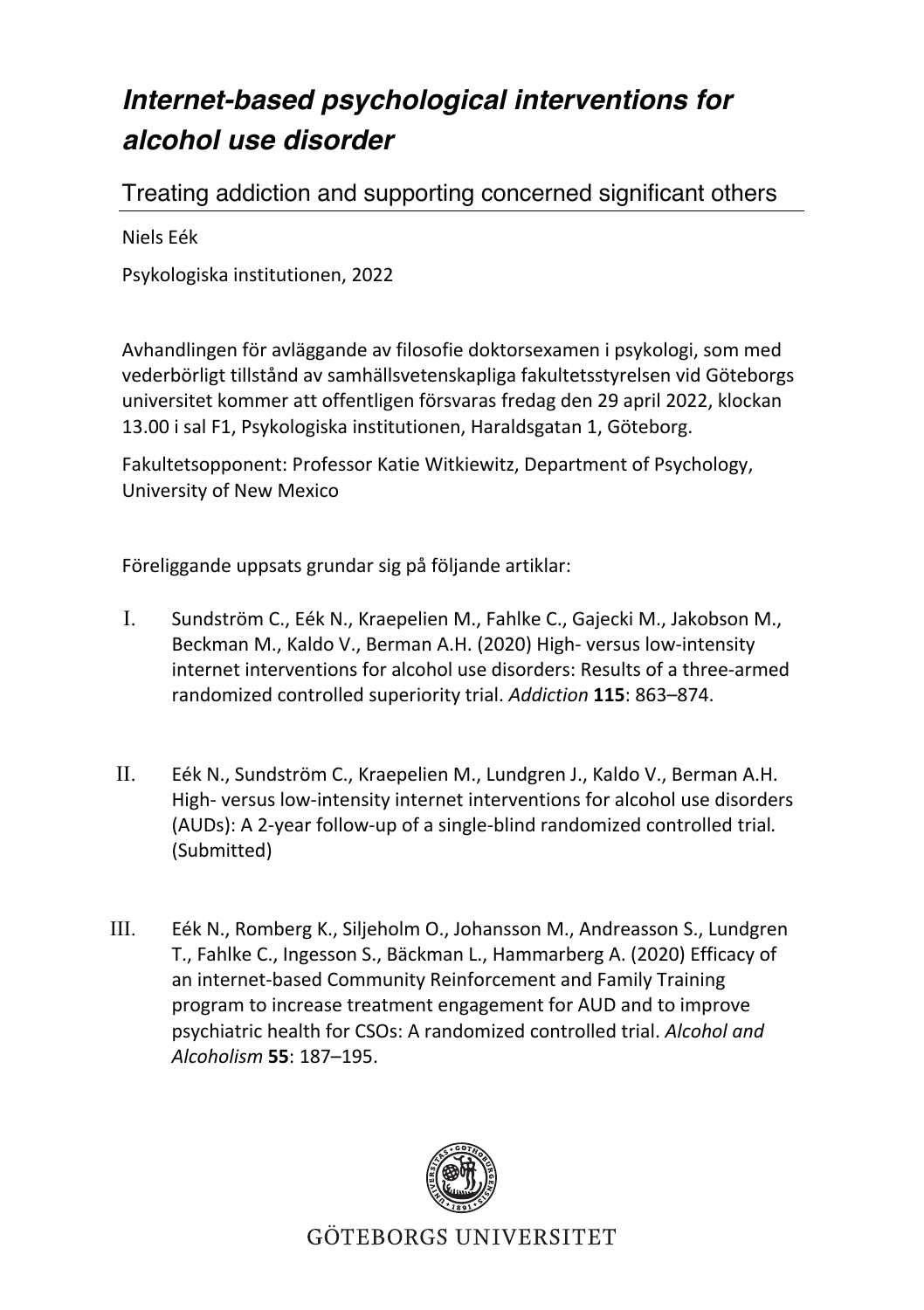## *Internet-based psychological interventions for alcohol use disorder*

Treating addiction and supporting concerned significant others

Niels Eék

Psykologiska institutionen, 2022

Avhandlingen för avläggande av filosofie doktorsexamen i psykologi, som med vederbörligt tillstånd av samhällsvetenskapliga fakultetsstyrelsen vid Göteborgs universitet kommer att offentligen försvaras fredag den 29 april 2022, klockan 13.00 i sal F1, Psykologiska institutionen, Haraldsgatan 1, Göteborg.

Fakultetsopponent: Professor Katie Witkiewitz, Department of Psychology, University of New Mexico

Föreliggande uppsats grundar sig på följande artiklar:

- I. Sundström C., Eék N., Kraepelien M., Fahlke C., Gajecki M., Jakobson M., Beckman M., Kaldo V., Berman A.H. (2020) High- versus low-intensity internet interventions for alcohol use disorders: Results of a three-armed randomized controlled superiority trial. *Addiction* **115**: 863–874.
- II. Eék N., Sundström C., Kraepelien M., Lundgren J., Kaldo V., Berman A.H. High- versus low-intensity internet interventions for alcohol use disorders (AUDs): A 2-year follow-up of a single-blind randomized controlled trial*.*  (Submitted)
- III. Eék N., Romberg K., Siljeholm O., Johansson M., Andreasson S., Lundgren T., Fahlke C., Ingesson S., Bäckman L., Hammarberg A. (2020) Efficacy of an internet-based Community Reinforcement and Family Training program to increase treatment engagement for AUD and to improve psychiatric health for CSOs: A randomized controlled trial. *Alcohol and Alcoholism* **55**: 187–195.



GÖTEBORGS UNIVERSITET